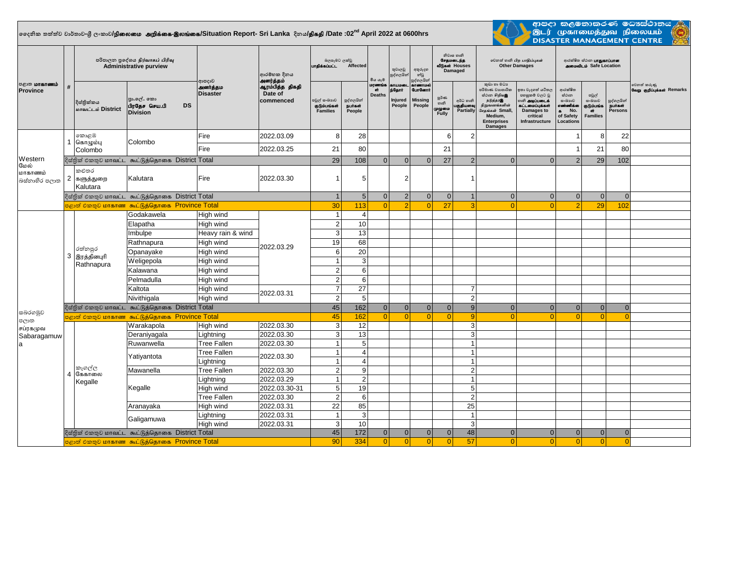## $\frac{1}{2}$ දෛනික තත්ත්ව වාර්තාව-ශී ලංකාව**/நிலைமை அறிக்கை-இலங்கை/S**ituation Report- Sri Lanka දිනය**/திகதி /**Date :02<sup>nd</sup> April 2022 at 0600hrs



.<br>ආපදා කළමනාකරණ මටාස්ථානය (<mark>ද</mark><br>DISASTER MANAGEMENT CENTRE

| <b>ு</b> கோணம்<br><b>Province</b> |                | පරිපාලන පුදේශය நிர்வாகப் பிரிவு<br><b>Administrative purview</b> |                                                             |                                      | ආරම්භක දිනය<br>அனர்த்தம்                | බලපෑමට ලක්වු<br>Affected<br>பாதிக்கப்பட்ட       |                                 | මිය යැම                        | තුවාලවු<br>පුද්ගලයින්                 | අතුරුදහ<br>න්වූ<br>පුද්ගලයින්                                                  | නිවාස හානි<br>சேதமடைந்த<br>வீடுகள் Houses<br>Damaged |                                     | லிலை லகி பிற பாதிப்புகள்<br><b>Other Damages</b>                                                                                                       |                                                                                                                                 | ආරක්ෂිත ස්ථාන <b>பாதுகாப்பான</b><br><b>ANGIOUS</b> Safe Location                      |                                                              |                                          |                                           |
|-----------------------------------|----------------|------------------------------------------------------------------|-------------------------------------------------------------|--------------------------------------|-----------------------------------------|-------------------------------------------------|---------------------------------|--------------------------------|---------------------------------------|--------------------------------------------------------------------------------|------------------------------------------------------|-------------------------------------|--------------------------------------------------------------------------------------------------------------------------------------------------------|---------------------------------------------------------------------------------------------------------------------------------|---------------------------------------------------------------------------------------|--------------------------------------------------------------|------------------------------------------|-------------------------------------------|
|                                   | #              | දිස්තික්කය<br>மாவட்டம் District                                  | පුා.ලේ. කො<br>பிரதேச செய.பி<br><b>DS</b><br><b>Division</b> | ආපදාව<br>அனர்த்தம<br><b>Disaster</b> | ஆரம்பித்த திகதி<br>Date of<br>commenced | පවුල් සංඛාගව<br>குடும்பங்கள்<br><b>Families</b> | පුද්ගලයින්<br>நபர்கள்<br>People | மரணங்க<br>air<br><b>Deaths</b> | காயமடை<br>ந்தோர்<br>Injured<br>People | <b><i><u>ancourrupe</u></i></b><br><b>GunGermi</b><br><b>Missing</b><br>People | පූර්ණ<br>හානි<br>முழுமை<br>Fully                     | අර්ධ හානි<br>பகுதியளவு<br>Partially | කුඩා හා මධා<br>පරිමාණ වාහපාරික<br>හ්ථාන சிறியஇ<br>நடுத்தரஇ<br>நிறுவனங்களின்<br>.<br>சேகங்கள் Small,<br>Medium,<br><b>Enterprises</b><br><b>Damages</b> | ඉතා වැදගත් යටිතල<br>පහසුකම් වලට වු<br>.<br>ம <b>ி அடிப்படைக்</b><br>கட்டமைப்புக்கள்<br>Damages to<br>critical<br>Infrastructure | ආරක්ෂිත<br>ස්ථාන<br>යංඛාාව<br>எண்ணிக்கை<br>No.<br>$\bullet$<br>of Safety<br>Locations | පවුල්<br>යංඛාාව<br>குடும்பங்க<br>$\sigma$<br><b>Families</b> | පුද්ගලයින්<br><b>Buirasin</b><br>Persons | වෙනත් කරුණු<br>வேறு குறிப்புக்கள் Remarks |
|                                   |                | කොළඹ<br>1 கொழும்பு<br>Colombo                                    | Colombo                                                     | Fire                                 | 2022.03.09                              | 8                                               | 28                              |                                |                                       |                                                                                | 6                                                    | $\overline{2}$                      |                                                                                                                                                        |                                                                                                                                 |                                                                                       | 8                                                            | 22                                       |                                           |
|                                   |                |                                                                  |                                                             | Fire                                 | 2022.03.25                              | 21                                              | 80                              |                                |                                       |                                                                                | 21                                                   |                                     |                                                                                                                                                        |                                                                                                                                 | $\overline{1}$                                                                        | 21                                                           | 80                                       |                                           |
| Western                           |                | දිස්තික් එකතුව மாவட்ட கூட்டுத்தொகை District Total                |                                                             |                                      |                                         | 29                                              | 108                             | $\Omega$                       | $\Omega$                              | $\Omega$                                                                       | 27                                                   | 2                                   | $\Omega$                                                                                                                                               | $\Omega$                                                                                                                        | $\overline{2}$                                                                        | 29                                                           | 102                                      |                                           |
| மேல்<br>மாகாணம்<br>බස්තාහිර පලාත  | $\overline{2}$ | කළුතර<br>களுத்துறை<br>Kalutara                                   | Kalutara                                                    | Fire                                 | 2022.03.30                              |                                                 | 5                               |                                | 2                                     |                                                                                |                                                      |                                     |                                                                                                                                                        |                                                                                                                                 |                                                                                       |                                                              |                                          |                                           |
|                                   |                |                                                                  | දිස්තික් එකතුව மாவட்ட கூட்டுத்தொகை District Total           |                                      |                                         | $\overline{1}$                                  | 5 <sup>1</sup>                  | $\overline{0}$                 | $\overline{2}$                        | $\overline{0}$                                                                 | $\mathbf{0}$                                         | $\overline{1}$                      | $\mathbf{0}$                                                                                                                                           | $\overline{0}$                                                                                                                  | 0                                                                                     | $\mathbf{0}$                                                 | $\mathbf{0}$                             |                                           |
|                                   |                |                                                                  | පළාත් එකතුව மாகாண கூட்டுத்தொகை Province Total               |                                      |                                         | 30                                              | 113                             | $\Omega$                       | $\overline{Q}$                        | $\Omega$                                                                       | 27                                                   | 3                                   | $\Omega$                                                                                                                                               | $\Omega$                                                                                                                        | $\mathcal{P}$                                                                         | 29                                                           | 102                                      |                                           |
|                                   |                | රත්නපුර<br>3 இரத்தினபுரி<br>Rathnapura                           | Godakawela                                                  | High wind                            | 2022.03.29<br>2022.03.31                | $\overline{1}$                                  | $\overline{4}$                  |                                |                                       |                                                                                |                                                      |                                     |                                                                                                                                                        |                                                                                                                                 |                                                                                       |                                                              |                                          |                                           |
|                                   |                |                                                                  | Elapatha                                                    | High wind                            |                                         | $\overline{2}$                                  | 10                              |                                |                                       |                                                                                |                                                      |                                     |                                                                                                                                                        |                                                                                                                                 |                                                                                       |                                                              |                                          |                                           |
|                                   |                |                                                                  | Imbulpe                                                     | Heavy rain & wind                    |                                         | $\mathbf{3}$                                    | 13                              |                                |                                       |                                                                                |                                                      |                                     |                                                                                                                                                        |                                                                                                                                 |                                                                                       |                                                              |                                          |                                           |
|                                   |                |                                                                  | Rathnapura                                                  | High wind                            |                                         | 19                                              | 68                              |                                |                                       |                                                                                |                                                      |                                     |                                                                                                                                                        |                                                                                                                                 |                                                                                       |                                                              |                                          |                                           |
|                                   |                |                                                                  | Opanayake                                                   | High wind                            |                                         | 6                                               | 20                              |                                |                                       |                                                                                |                                                      |                                     |                                                                                                                                                        |                                                                                                                                 |                                                                                       |                                                              |                                          |                                           |
|                                   |                |                                                                  | Weligepola                                                  | High wind                            |                                         | $\mathbf{1}$                                    | 3                               |                                |                                       |                                                                                |                                                      |                                     |                                                                                                                                                        |                                                                                                                                 |                                                                                       |                                                              |                                          |                                           |
|                                   |                |                                                                  | Kalawana                                                    | High wind                            |                                         | $\overline{2}$                                  | $6\phantom{1}6$                 |                                |                                       |                                                                                |                                                      |                                     |                                                                                                                                                        |                                                                                                                                 |                                                                                       |                                                              |                                          |                                           |
|                                   |                |                                                                  | Pelmadulla                                                  | High wind                            |                                         | 2                                               | 6                               |                                |                                       |                                                                                |                                                      |                                     |                                                                                                                                                        |                                                                                                                                 |                                                                                       |                                                              |                                          |                                           |
|                                   |                |                                                                  | Kaltota                                                     | High wind                            |                                         | $\overline{7}$                                  | 27                              |                                |                                       |                                                                                |                                                      | $\overline{7}$                      |                                                                                                                                                        |                                                                                                                                 |                                                                                       |                                                              |                                          |                                           |
|                                   |                |                                                                  | Nivithigala                                                 | High wind                            |                                         | 2                                               | 5                               |                                |                                       |                                                                                |                                                      | $\overline{2}$                      |                                                                                                                                                        |                                                                                                                                 |                                                                                       |                                                              |                                          |                                           |
|                                   |                | දිස්තික් එකතුව மாவட்ட கூட்டுத்தொகை District Total                | 45                                                          | 162                                  | $\Omega$                                | $\Omega$                                        | $\Omega$                        | $\Omega$                       | 9                                     | $\Omega$                                                                       | $\overline{0}$                                       | $\Omega$                            | $\mathbf{0}$                                                                                                                                           | $\Omega$                                                                                                                        |                                                                                       |                                                              |                                          |                                           |
| සබරගමුව<br>පලාත                   |                | පළාත් එකතුව மாகாண கூட்டுத்தொகை Province Total                    | 45                                                          | 162                                  | $\Omega$                                | $\Omega$                                        | $\Omega$                        | $\Omega$                       | -9                                    | $\Omega$                                                                       | $\Omega$                                             | $\Omega$                            | $\Omega$                                                                                                                                               | C                                                                                                                               |                                                                                       |                                                              |                                          |                                           |
| சப்ரகமுவ<br>Sabaragamuw<br>a      |                | කෑගල්ල<br>4 கேகாலை<br>Kegalle                                    | Warakapola                                                  | High wind                            | 2022.03.30                              | 3                                               | 12                              |                                |                                       |                                                                                |                                                      | 3                                   |                                                                                                                                                        |                                                                                                                                 |                                                                                       |                                                              |                                          |                                           |
|                                   |                |                                                                  | Deraniyagala                                                | Lightning                            | 2022.03.30                              | $\mathbf{3}$                                    | 13                              |                                |                                       |                                                                                |                                                      | 3                                   |                                                                                                                                                        |                                                                                                                                 |                                                                                       |                                                              |                                          |                                           |
|                                   |                |                                                                  | Ruwanwella                                                  | <b>Tree Fallen</b>                   | 2022.03.30                              | $\overline{1}$                                  | 5                               |                                |                                       |                                                                                |                                                      | $\overline{1}$                      |                                                                                                                                                        |                                                                                                                                 |                                                                                       |                                                              |                                          |                                           |
|                                   |                |                                                                  | Yatiyantota                                                 | <b>Tree Fallen</b>                   | 2022.03.30                              | $\overline{1}$                                  | $\overline{4}$                  |                                |                                       |                                                                                |                                                      | $\overline{1}$                      |                                                                                                                                                        |                                                                                                                                 |                                                                                       |                                                              |                                          |                                           |
|                                   |                |                                                                  |                                                             | Lightning                            |                                         | $\overline{1}$                                  | $\overline{4}$                  |                                |                                       |                                                                                |                                                      | $\overline{1}$                      |                                                                                                                                                        |                                                                                                                                 |                                                                                       |                                                              |                                          |                                           |
|                                   |                |                                                                  | Mawanella                                                   | <b>Tree Fallen</b>                   | 2022.03.30                              | $\overline{2}$                                  | 9                               |                                |                                       |                                                                                |                                                      | $\overline{2}$                      |                                                                                                                                                        |                                                                                                                                 |                                                                                       |                                                              |                                          |                                           |
|                                   |                |                                                                  |                                                             | Lightning                            | 2022.03.29                              | $\overline{1}$                                  | $\overline{2}$                  |                                |                                       |                                                                                |                                                      | $\overline{1}$                      |                                                                                                                                                        |                                                                                                                                 |                                                                                       |                                                              |                                          |                                           |
|                                   |                |                                                                  | Kegalle                                                     | High wind                            | 2022.03.30-31                           | $\sqrt{5}$                                      | 19                              |                                |                                       |                                                                                |                                                      | $\overline{5}$                      |                                                                                                                                                        |                                                                                                                                 |                                                                                       |                                                              |                                          |                                           |
|                                   |                |                                                                  |                                                             | <b>Tree Fallen</b>                   | 2022.03.30                              | 2                                               | $6\phantom{1}6$                 |                                |                                       |                                                                                |                                                      | $\overline{2}$                      |                                                                                                                                                        |                                                                                                                                 |                                                                                       |                                                              |                                          |                                           |
|                                   |                |                                                                  | Aranayaka                                                   | High wind                            | 2022.03.31                              | 22                                              | 85                              |                                |                                       |                                                                                |                                                      | 25                                  |                                                                                                                                                        |                                                                                                                                 |                                                                                       |                                                              |                                          |                                           |
|                                   |                |                                                                  | Galigamuwa                                                  | Lightning                            | 2022.03.31                              | $\overline{1}$                                  | $\sqrt{3}$                      |                                |                                       |                                                                                |                                                      | $\overline{1}$                      |                                                                                                                                                        |                                                                                                                                 |                                                                                       |                                                              |                                          |                                           |
|                                   |                |                                                                  |                                                             | High wind                            | 2022.03.31                              | 3<br>45                                         | 10<br>172                       | $\overline{0}$                 | $\Omega$                              | $\Omega$                                                                       | $\overline{0}$                                       | 3<br>48                             | $\Omega$                                                                                                                                               | $\overline{0}$                                                                                                                  | 0                                                                                     | $\overline{0}$                                               | $\overline{0}$                           |                                           |
|                                   |                |                                                                  | දිස්තික් එකතුව மாவட்ட கூட்டுத்தொகை District Total           |                                      |                                         | 90                                              | 334                             | $\Omega$                       | $\Omega$                              | $\Omega$                                                                       | $\Omega$                                             | 57                                  | $\Omega$                                                                                                                                               | $\Omega$                                                                                                                        | $\Omega$                                                                              | 0                                                            | $\Omega$                                 |                                           |
|                                   |                |                                                                  | පළාත් එකතුව மாகாண கூட்டுத்தொகை Province Total               |                                      |                                         |                                                 |                                 |                                |                                       |                                                                                |                                                      |                                     |                                                                                                                                                        |                                                                                                                                 |                                                                                       |                                                              |                                          |                                           |